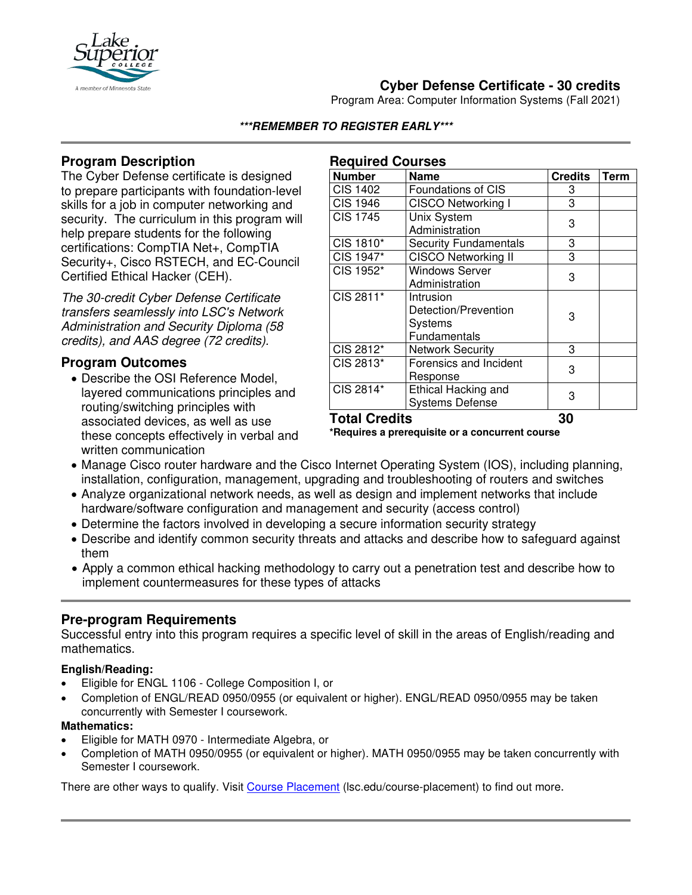

# **Cyber Defense Certificate - 30 credits**

Program Area: Computer Information Systems (Fall 2021)

**\*\*\*REMEMBER TO REGISTER EARLY\*\*\***

## **Program Description**

The Cyber Defense certificate is designed to prepare participants with foundation-level skills for a job in computer networking and security. The curriculum in this program will help prepare students for the following certifications: CompTIA Net+, CompTIA Security+, Cisco RSTECH, and EC-Council Certified Ethical Hacker (CEH).

*The 30-credit Cyber Defense Certificate transfers seamlessly into LSC's Network Administration and Security Diploma (58 credits), and AAS degree (72 credits).* 

## **Program Outcomes**

• Describe the OSI Reference Model, layered communications principles and routing/switching principles with associated devices, as well as use these concepts effectively in verbal and written communication

### **Required Courses**

| Number               | <b>Name</b>                                                         | <b>Credits</b> | <b>Term</b> |
|----------------------|---------------------------------------------------------------------|----------------|-------------|
| <b>CIS 1402</b>      | <b>Foundations of CIS</b>                                           | 3              |             |
| <b>CIS 1946</b>      | <b>CISCO Networking I</b>                                           | 3              |             |
| <b>CIS 1745</b>      | Unix System<br>Administration                                       | 3              |             |
| CIS 1810*            | <b>Security Fundamentals</b>                                        | 3              |             |
| CIS 1947*            | <b>CISCO Networking II</b>                                          | 3              |             |
| CIS 1952*            | <b>Windows Server</b><br>Administration                             | 3              |             |
| CIS 2811*            | Intrusion<br>Detection/Prevention<br><b>Systems</b><br>Fundamentals | 3              |             |
| CIS 2812*            | <b>Network Security</b>                                             | 3              |             |
| CIS 2813*            | Forensics and Incident<br>Response                                  | 3              |             |
| CIS 2814*            | Ethical Hacking and<br><b>Systems Defense</b>                       | 3              |             |
| <b>Total Credits</b> |                                                                     | 30             |             |

**\*Requires a prerequisite or a concurrent course**

- Manage Cisco router hardware and the Cisco Internet Operating System (IOS), including planning, installation, configuration, management, upgrading and troubleshooting of routers and switches
- Analyze organizational network needs, as well as design and implement networks that include hardware/software configuration and management and security (access control)
- Determine the factors involved in developing a secure information security strategy
- Describe and identify common security threats and attacks and describe how to safeguard against them
- Apply a common ethical hacking methodology to carry out a penetration test and describe how to implement countermeasures for these types of attacks

### **Pre-program Requirements**

Successful entry into this program requires a specific level of skill in the areas of English/reading and mathematics.

#### **English/Reading:**

- Eligible for ENGL 1106 College Composition I, or
- Completion of ENGL/READ 0950/0955 (or equivalent or higher). ENGL/READ 0950/0955 may be taken concurrently with Semester I coursework.

#### **Mathematics:**

- Eligible for MATH 0970 Intermediate Algebra, or
- Completion of MATH 0950/0955 (or equivalent or higher). MATH 0950/0955 may be taken concurrently with Semester I coursework.

There are other ways to qualify. Visit [Course Placement](https://www.lsc.edu/course-placement/) (lsc.edu/course-placement) to find out more.